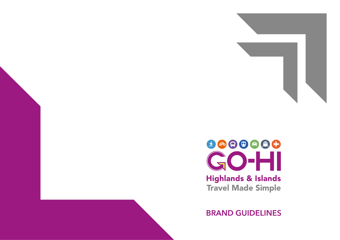

**BRAND GUIDELINES**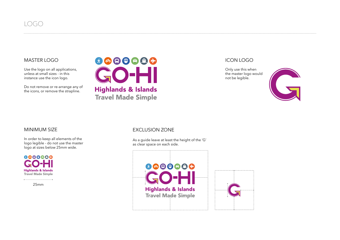

#### MASTER LOGO

Use the logo on all applications, unless at small sizes - in this instance use the icon logo.

Do not remove or re-arrange any of the icons, or remove the strapline.



#### ICON LOGO

Only use this when the master logo would not be legible.



In order to keep all elements of the logo legible - do not use the master logo at sizes below 25mm wide.



25mm

### MINIMUM SIZE EXCLUSION ZONE

As a guide leave at least the height of the 'G' as clear space on each side.



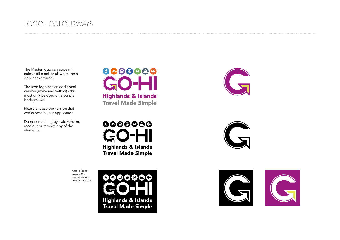## LOGO - COLOURWAYS

The Master logo can appear in colour, all black or all white (on a dark background).

The Icon logo has an additional version (white and yellow) - this must only be used on a purple background.

Please choose the version that works best in your application.

Do not create a greyscale version, recolour or remove any of the elements.



0000000 **)**-l **Highlands & Islands Travel Made Simple** 

*note: please ensure the logo does not appear in a box*







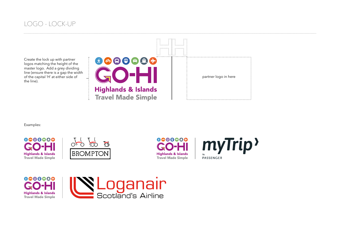## LOGO - LOCK-UP

Create the lock up with partner logos matching the height of the master logo. Add a grey dividing line (ensure there is a gap the width of the capital 'H' at either side of the line).





Examples:









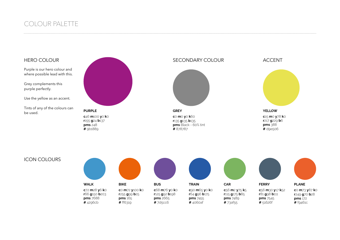## COLOUR PALETTE

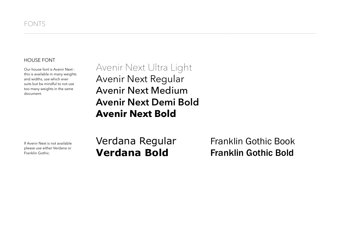### HOUSE FONT

Our house font is Avenir Next this is available in many weights and widths, use which ever suits but be mindful to not use too many weights in the same document.

Avenir Next Ultra Light Avenir Next Regular Avenir Next Medium **Avenir Next Demi Bold Avenir Next Bold**

If Avenir Next is not available please use either Verdana or Franklin Gothic.

# Verdana Regular **Verdana Bold**

Franklin Gothic Book Franklin Gothic Bold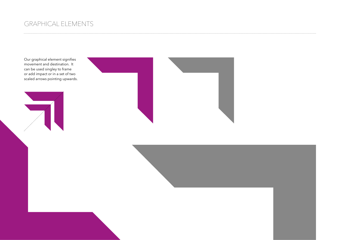## GRAPHICAL ELEMENTS

Our graphical element signifies movement and destination. It can be used singley to frame or add impact or in a set of two scaled arrows pointing upwards.





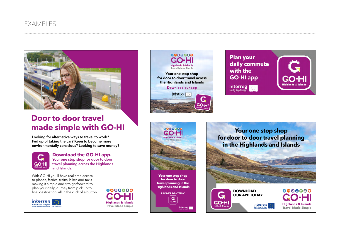

# **Door to door travel made simple with GO-HI**

**Looking for alternative ways to travel to work? Fed up of taking the car? Keen to become more environmentally conscious? Looking to save money?** 



**Download the GO-HI app. Your one stop shop for door to door travel planning across the Highlands and Islands.** 

With GO-HI you'll have real time access to planes, ferries, trains, bikes and taxis making it simple and straightforward to plan your daily journey from pick up to final destination, all in the click of a button.











 $G$ 

GO-HI

Interreg